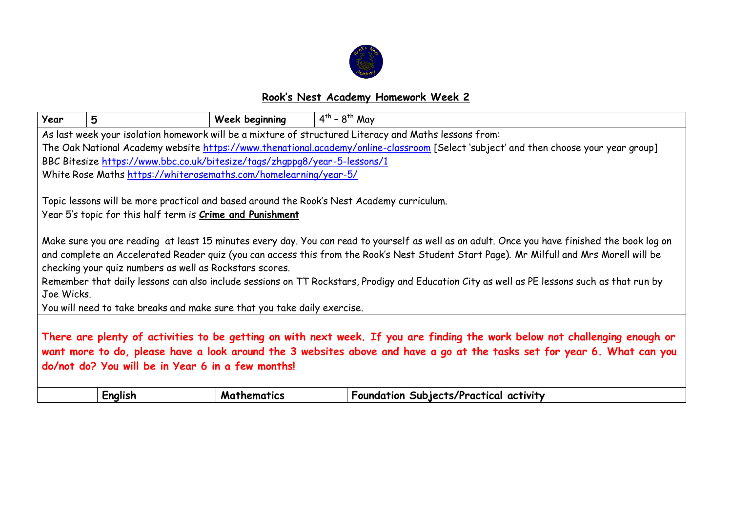

## **Rook's Nest Academy Homework Week 2**

| Year                                                                                                                                                                                                                                                                                                        | 5                                                                         | Week beginning     | $4^{th}$ - $8^{th}$ May                                                                                                                                                                                                                                                                                                                                                                                                                  |  |  |
|-------------------------------------------------------------------------------------------------------------------------------------------------------------------------------------------------------------------------------------------------------------------------------------------------------------|---------------------------------------------------------------------------|--------------------|------------------------------------------------------------------------------------------------------------------------------------------------------------------------------------------------------------------------------------------------------------------------------------------------------------------------------------------------------------------------------------------------------------------------------------------|--|--|
|                                                                                                                                                                                                                                                                                                             |                                                                           |                    | As last week your isolation homework will be a mixture of structured Literacy and Maths lessons from:                                                                                                                                                                                                                                                                                                                                    |  |  |
|                                                                                                                                                                                                                                                                                                             |                                                                           |                    | The Oak National Academy website https://www.thenational.academy/online-classroom [Select 'subject' and then choose your year group]                                                                                                                                                                                                                                                                                                     |  |  |
|                                                                                                                                                                                                                                                                                                             | BBC Bitesize https://www.bbc.co.uk/bitesize/tags/zhqppg8/year-5-lessons/1 |                    |                                                                                                                                                                                                                                                                                                                                                                                                                                          |  |  |
|                                                                                                                                                                                                                                                                                                             | White Rose Maths https://whiterosemaths.com/homelearning/year-5/          |                    |                                                                                                                                                                                                                                                                                                                                                                                                                                          |  |  |
|                                                                                                                                                                                                                                                                                                             | Year 5's topic for this half term is <i>Crime and Punishment</i>          |                    | Topic lessons will be more practical and based around the Rook's Nest Academy curriculum.                                                                                                                                                                                                                                                                                                                                                |  |  |
| Joe Wicks.                                                                                                                                                                                                                                                                                                  | checking your quiz numbers as well as Rockstars scores.                   |                    | Make sure you are reading at least 15 minutes every day. You can read to yourself as well as an adult. Once you have finished the book log on<br>and complete an Accelerated Reader quiz (you can access this from the Rook's Nest Student Start Page). Mr Milfull and Mrs Morell will be<br>Remember that daily lessons can also include sessions on TT Rockstars, Prodigy and Education City as well as PE lessons such as that run by |  |  |
|                                                                                                                                                                                                                                                                                                             | You will need to take breaks and make sure that you take daily exercise.  |                    |                                                                                                                                                                                                                                                                                                                                                                                                                                          |  |  |
| There are plenty of activities to be getting on with next week. If you are finding the work below not challenging enough or<br>want more to do, please have a look around the 3 websites above and have a go at the tasks set for year 6. What can you<br>do/not do? You will be in Year 6 in a few months! |                                                                           |                    |                                                                                                                                                                                                                                                                                                                                                                                                                                          |  |  |
|                                                                                                                                                                                                                                                                                                             | English                                                                   | <b>Mathematics</b> | Foundation Subjects/Practical activity                                                                                                                                                                                                                                                                                                                                                                                                   |  |  |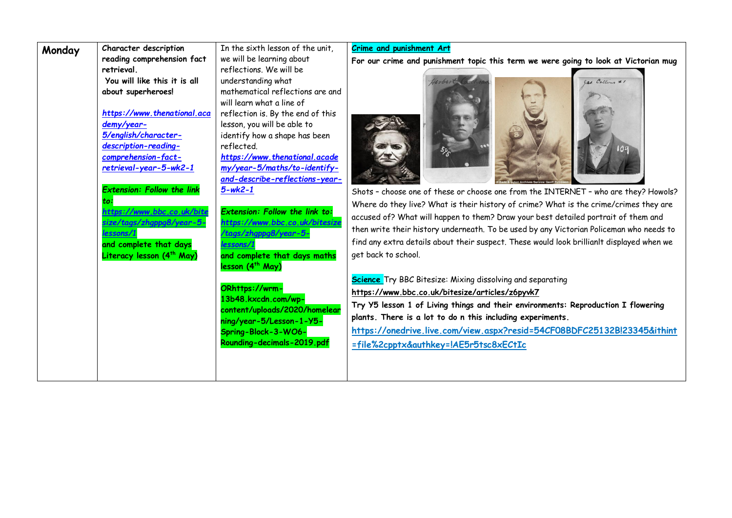| Monday | Character description                                                                                                                                         | In the sixth lesson of the unit,                                                                                                                                                                                                  | <b>Crime and punishment Art</b>                                                                                                                                                                                                                                                                                                                                                                        |  |  |
|--------|---------------------------------------------------------------------------------------------------------------------------------------------------------------|-----------------------------------------------------------------------------------------------------------------------------------------------------------------------------------------------------------------------------------|--------------------------------------------------------------------------------------------------------------------------------------------------------------------------------------------------------------------------------------------------------------------------------------------------------------------------------------------------------------------------------------------------------|--|--|
|        | reading comprehension fact                                                                                                                                    | we will be learning about                                                                                                                                                                                                         | For our crime and punishment topic this term we were going to look at Victorian mug                                                                                                                                                                                                                                                                                                                    |  |  |
|        | retrieval.<br>You will like this it is all<br>about superheroes!<br>https://www.thenational.aca<br>demy/year-<br>5/english/character-<br>description-reading- | reflections. We will be<br>understanding what<br>mathematical reflections are and<br>will learn what a line of<br>reflection is. By the end of this<br>lesson, you will be able to<br>identify how a shape has been<br>reflected. | las. Collins # 1                                                                                                                                                                                                                                                                                                                                                                                       |  |  |
|        | comprehension-fact-<br>retrieval-year-5-wk2-1<br><b>Extension: Follow the link</b>                                                                            | https://www.thenational.acade<br>my/year-5/maths/to-identify-<br>and-describe-reflections-year-<br>$5 - wk^2 - 1$                                                                                                                 | Shots - choose one of these or choose one from the INTERNET - who are they? Howols?                                                                                                                                                                                                                                                                                                                    |  |  |
|        | to:<br>https://www.bbc.co.uk/bite<br>size/taas/zhgppg8/year-<br>lessons/1<br>and complete that days<br>Literacy lesson (4 <sup>th</sup> May)                  | <b>Extension: Follow the link to:</b><br>https://www.bbc.co.uk/bitesize<br>tags/zhgppg8/year-5-/<br>essons/1<br>and complete that days maths<br>lesson (4 <sup>th</sup> May)                                                      | Where do they live? What is their history of crime? What is the crime/crimes they are<br>accused of? What will happen to them? Draw your best detailed portrait of them and<br>then write their history underneath. To be used by any Victorian Policeman who needs to<br>find any extra details about their suspect. These would look brillianlt displayed when we<br>get back to school.             |  |  |
|        |                                                                                                                                                               | ORhttps://wrm-<br>13b48.kxcdn.com/wp-<br>content/uploads/2020/homelear<br>ning/year-5/Lesson-1-Y5-<br>Spring-Block-3-WO6-<br>Rounding-decimals-2019.pdf                                                                           | <b>Science</b> Try BBC Bitesize: Mixing dissolving and separating<br>https://www.bbc.co.uk/bitesize/articles/z6pyvk7<br>Try Y5 lesson 1 of Living things and their environments: Reproduction I flowering<br>plants. There is a lot to do n this including experiments.<br>https://onedrive.live.com/view.aspx?resid=54CF08BDFC25132Bl23345&ithint<br><u>=file%2cpptx&amp;authkey=!AE5r5tsc8xECtIc</u> |  |  |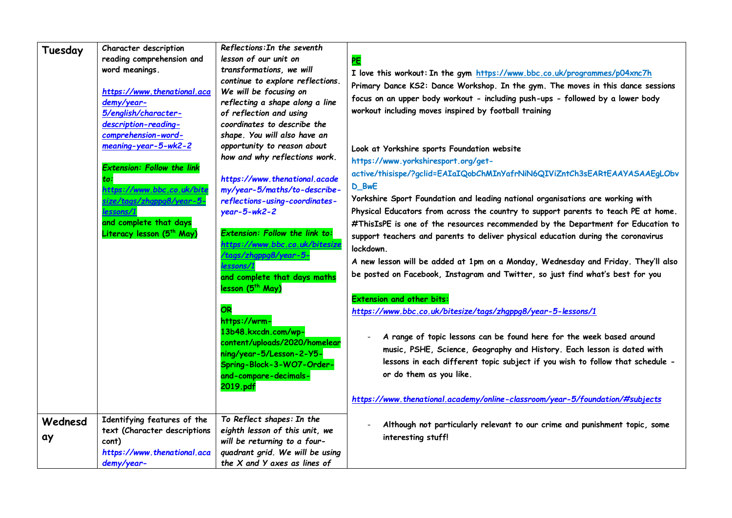| Tuesday       | Character description<br>reading comprehension and<br>word meanings.                                              | Reflections: In the seventh<br>lesson of our unit on<br>transformations, we will                                                                                   | <b>PE</b>                                                                                                                                                                                                                                                  |
|---------------|-------------------------------------------------------------------------------------------------------------------|--------------------------------------------------------------------------------------------------------------------------------------------------------------------|------------------------------------------------------------------------------------------------------------------------------------------------------------------------------------------------------------------------------------------------------------|
|               | https://www.thenational.aca<br>demy/year-                                                                         | continue to explore reflections.<br>We will be focusing on<br>reflecting a shape along a line                                                                      | I love this workout: In the gym https://www.bbc.co.uk/programmes/p04xnc7h<br>Primary Dance KS2: Dance Workshop. In the gym. The moves in this dance sessions<br>focus on an upper body workout - including push-ups - followed by a lower body             |
|               | 5/english/character-<br>description-reading-<br>comprehension-word-<br>meaning-year-5-wk2-2                       | of reflection and using<br>coordinates to describe the<br>shape. You will also have an<br>opportunity to reason about                                              | workout including moves inspired by football training                                                                                                                                                                                                      |
|               | <b>Extension: Follow the link</b><br>to:                                                                          | how and why reflections work.<br>https://www.thenational.acade                                                                                                     | Look at Yorkshire sports Foundation website<br>https://www.yorkshiresport.org/get-<br>active/thisispe/?gclid=EAIaIQobChMInYafrNiN6QIViZntCh3sEARtEAAYASAAEgLObv                                                                                            |
|               | https://www.bbc.co.uk/bite<br>size/tags/zhgppg8/year- <mark>5</mark><br>essons/1                                  | my/year-5/maths/to-describe-<br>reflections-using-coordinates-<br>$year-5-wk2-2$                                                                                   | D_BwE<br>Yorkshire Sport Foundation and leading national organisations are working with<br>Physical Educators from across the country to support parents to teach PE at home.                                                                              |
|               | and complete that days<br>Literacy lesson (5 <sup>th</sup> May)                                                   | Extension: Follow the link to:<br>https://www.bbc.co.uk/bitesize<br>tags/zhgppg8/year-5-                                                                           | #ThisIsPE is one of the resources recommended by the Department for Education to<br>support teachers and parents to deliver physical education during the coronavirus<br>lockdown.                                                                         |
|               |                                                                                                                   | essons/1<br>and complete that days maths<br>lesson (5 <sup>th</sup> May)                                                                                           | A new lesson will be added at 1pm on a Monday, Wednesday and Friday. They'll also<br>be posted on Facebook, Instagram and Twitter, so just find what's best for you                                                                                        |
|               |                                                                                                                   | OR<br>https://wrm-                                                                                                                                                 | <b>Extension and other bits:</b><br>https://www.bbc.co.uk/bitesize/tags/zhqppq8/year-5-lessons/1                                                                                                                                                           |
|               |                                                                                                                   | 13b48.kxcdn.com/wp-<br>content/uploads/2020/homelear<br>ning/year-5/Lesson-2-Y5-<br>Spring-Block-3-WO7-Order-<br>and-compare-decimals-<br>2019.pdf                 | A range of topic lessons can be found here for the week based around<br>music, PSHE, Science, Geography and History. Each lesson is dated with<br>lessons in each different topic subject if you wish to follow that schedule -<br>or do them as you like. |
|               |                                                                                                                   |                                                                                                                                                                    | https://www.thenational.academy/online-classroom/year-5/foundation/#subjects                                                                                                                                                                               |
| Wednesd<br>ay | Identifying features of the<br>text (Character descriptions<br>cont)<br>https://www.thenational.aca<br>demy/year- | To Reflect shapes: In the<br>eighth lesson of this unit, we<br>will be returning to a four-<br>quadrant grid. We will be using<br>the $X$ and $Y$ axes as lines of | Although not particularly relevant to our crime and punishment topic, some<br>interesting stuff!                                                                                                                                                           |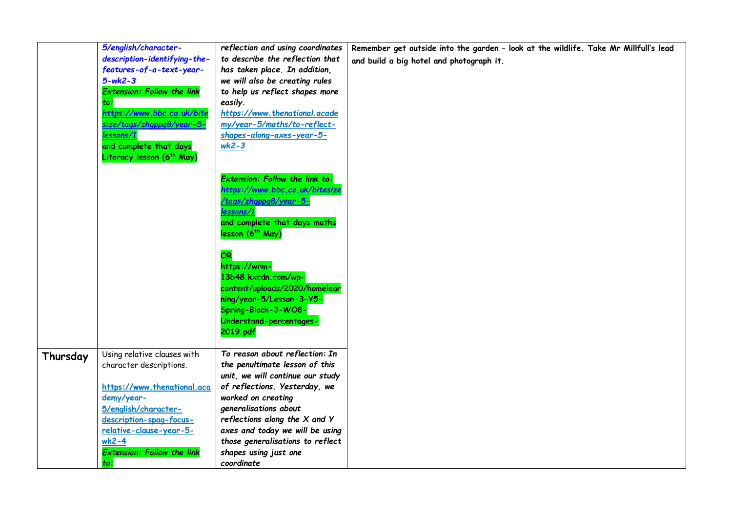|          | 5/english/character-                  | reflection and using coordinates  | Remember get outside into the garden - look at the wildlife. Take Mr Millfull's lead |
|----------|---------------------------------------|-----------------------------------|--------------------------------------------------------------------------------------|
|          | description-identifying-the-          | to describe the reflection that   | and build a big hotel and photograph it.                                             |
|          | features-of-a-text-year-              | has taken place. In addition,     |                                                                                      |
|          | $5 - wk^2 - 3$                        | we will also be creating rules    |                                                                                      |
|          | <b>Extension: Follow the link</b>     | to help us reflect shapes more    |                                                                                      |
|          | to:                                   | easily.                           |                                                                                      |
|          | https://www.bbc.co.uk/bite            | https://www.thenational.acade     |                                                                                      |
|          | size/tags/zhgppg8/year-5-             | my/year-5/maths/to-reflect-       |                                                                                      |
|          | lessons/1                             | shapes-along-axes-year-5-         |                                                                                      |
|          | and complete that days                | $wk2-3$                           |                                                                                      |
|          | Literacy lesson (6 <sup>th</sup> May) |                                   |                                                                                      |
|          |                                       |                                   |                                                                                      |
|          |                                       | Extension: Follow the link to:    |                                                                                      |
|          |                                       | https://www.bbc.co.uk/bitesize    |                                                                                      |
|          |                                       | <mark>tags/zhgppg8/year-5-</mark> |                                                                                      |
|          |                                       | lessons/1                         |                                                                                      |
|          |                                       | and complete that days maths      |                                                                                      |
|          |                                       | lesson (6 <sup>th</sup> May)      |                                                                                      |
|          |                                       | OR                                |                                                                                      |
|          |                                       | https://wrm-                      |                                                                                      |
|          |                                       | 13b48.kxcdn.com/wp-               |                                                                                      |
|          |                                       | content/uploads/2020/homelear     |                                                                                      |
|          |                                       | ning/year-5/Lesson-3-Y5-          |                                                                                      |
|          |                                       | Spring-Block-3-WO8-               |                                                                                      |
|          |                                       | Understand-percentages-           |                                                                                      |
|          |                                       | 2019.pdf                          |                                                                                      |
|          |                                       |                                   |                                                                                      |
| Thursday | Using relative clauses with           | To reason about reflection: In    |                                                                                      |
|          | character descriptions.               | the penultimate lesson of this    |                                                                                      |
|          |                                       | unit, we will continue our study  |                                                                                      |
|          | https://www.thenational.aca           | of reflections. Yesterday, we     |                                                                                      |
|          | demy/year-                            | worked on creating                |                                                                                      |
|          | 5/english/character-                  | generalisations about             |                                                                                      |
|          | description-spag-focus-               | reflections along the $X$ and $Y$ |                                                                                      |
|          | relative-clause-year-5-               | axes and today we will be using   |                                                                                      |
|          | $wk2-4$                               | those generalisations to reflect  |                                                                                      |
|          | <b>Extension: Follow the link</b>     | shapes using just one             |                                                                                      |
|          | to:                                   | coordinate                        |                                                                                      |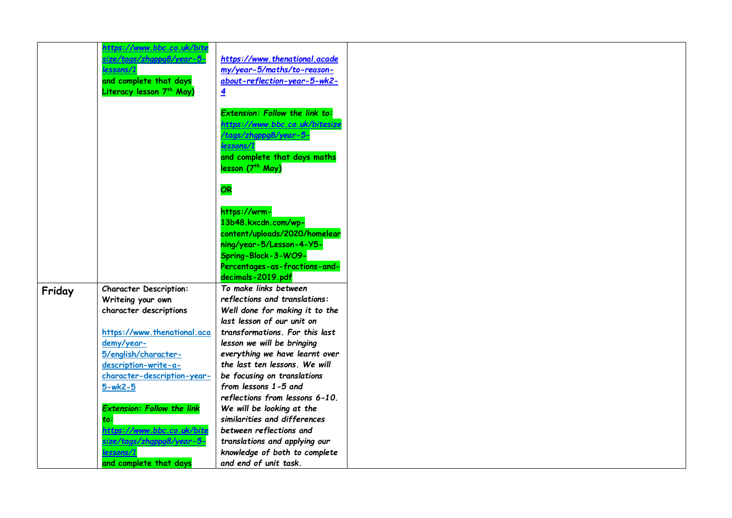|        | https://www.bbc.co.uk/bite                                                                              |                                                                                                                                                                               |
|--------|---------------------------------------------------------------------------------------------------------|-------------------------------------------------------------------------------------------------------------------------------------------------------------------------------|
|        | <mark>ize/tags/zhgppg8/year-5-</mark><br>essons/1<br>and complete that days<br>Literacy lesson 7th May) | https://www.thenational.acade<br>my/year-5/maths/to-reason-<br>about-reflection-year-5-wk2-<br>$\overline{4}$                                                                 |
|        |                                                                                                         | <b>Extension: Follow the link to:</b><br>https://www.bbc.co.uk/bitesize<br>/tags/zhgppg8/year-5-<br>lessons/1<br>and complete that days maths<br>lesson (7 <sup>th</sup> May) |
|        |                                                                                                         | OR                                                                                                                                                                            |
|        |                                                                                                         | https://wrm-                                                                                                                                                                  |
|        |                                                                                                         | 13b48.kxcdn.com/wp-                                                                                                                                                           |
|        |                                                                                                         | content/uploads/2020/homelear                                                                                                                                                 |
|        |                                                                                                         | ning/year-5/Lesson-4-Y5-                                                                                                                                                      |
|        |                                                                                                         | Spring-Block-3-WO9-                                                                                                                                                           |
|        |                                                                                                         | Percentages-as-fractions-and-                                                                                                                                                 |
|        |                                                                                                         | decimals-2019.pdf                                                                                                                                                             |
| Friday | <b>Character Description:</b>                                                                           | To make links between                                                                                                                                                         |
|        | Writeing your own                                                                                       | reflections and translations:                                                                                                                                                 |
|        | character descriptions                                                                                  | Well done for making it to the                                                                                                                                                |
|        |                                                                                                         | last lesson of our unit on                                                                                                                                                    |
|        | https://www.thenational.aca                                                                             | transformations. For this last                                                                                                                                                |
|        | demy/year-                                                                                              | lesson we will be bringing                                                                                                                                                    |
|        | 5/english/character-<br>description-write-a-                                                            | everything we have learnt over<br>the last ten lessons. We will                                                                                                               |
|        | character-description-year-                                                                             | be focusing on translations                                                                                                                                                   |
|        | $5-wk2-5$                                                                                               | from lessons 1-5 and                                                                                                                                                          |
|        |                                                                                                         | reflections from lessons 6-10.                                                                                                                                                |
|        | <b>Extension: Follow the link</b>                                                                       | We will be looking at the                                                                                                                                                     |
|        | to:                                                                                                     | similarities and differences                                                                                                                                                  |
|        | https://www.bbc.co.uk/bite                                                                              | between reflections and                                                                                                                                                       |
|        | size/tags/zhgppg8/year-5-                                                                               | translations and applying our                                                                                                                                                 |
|        | essons/1                                                                                                | knowledge of both to complete                                                                                                                                                 |
|        | and complete that days                                                                                  | and end of unit task.                                                                                                                                                         |